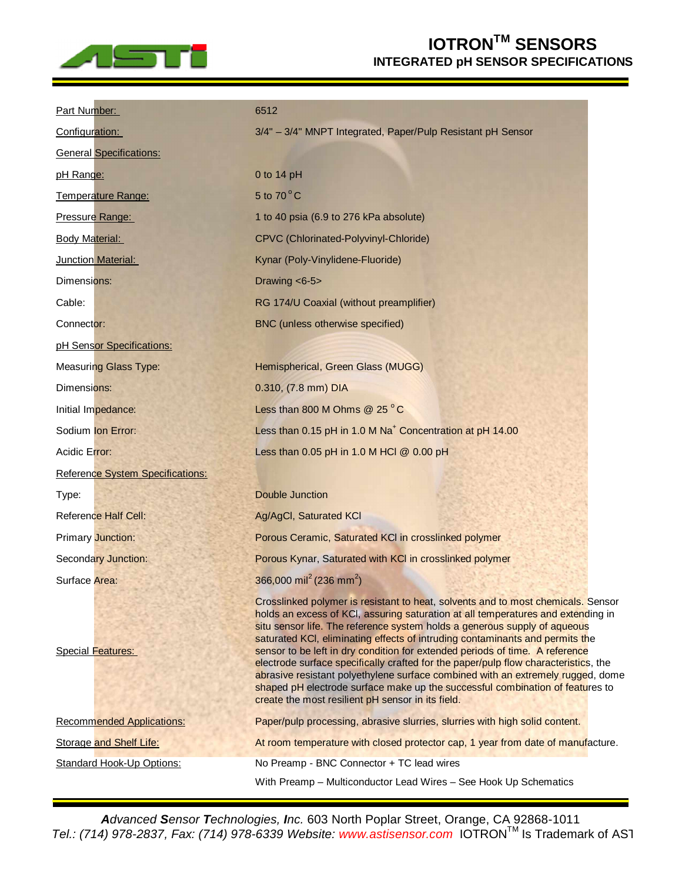

## **IOTRONTM SENSORS INTEGRATED pH SENSOR SPECIFICATIONS**

| Part Number:                     | 6512                                                                                                                                                                                                                                                                                                                                                                                                                                                                                                                                                                                                                                                                                                                              |
|----------------------------------|-----------------------------------------------------------------------------------------------------------------------------------------------------------------------------------------------------------------------------------------------------------------------------------------------------------------------------------------------------------------------------------------------------------------------------------------------------------------------------------------------------------------------------------------------------------------------------------------------------------------------------------------------------------------------------------------------------------------------------------|
| Configuration:                   | 3/4" - 3/4" MNPT Integrated, Paper/Pulp Resistant pH Sensor                                                                                                                                                                                                                                                                                                                                                                                                                                                                                                                                                                                                                                                                       |
| <b>General Specifications:</b>   |                                                                                                                                                                                                                                                                                                                                                                                                                                                                                                                                                                                                                                                                                                                                   |
| pH Range:                        | 0 to 14 pH                                                                                                                                                                                                                                                                                                                                                                                                                                                                                                                                                                                                                                                                                                                        |
| Temperature Range:               | 5 to $70^{\circ}$ C                                                                                                                                                                                                                                                                                                                                                                                                                                                                                                                                                                                                                                                                                                               |
| Pressure Range:                  | 1 to 40 psia (6.9 to 276 kPa absolute)                                                                                                                                                                                                                                                                                                                                                                                                                                                                                                                                                                                                                                                                                            |
| <b>Body Material:</b>            | CPVC (Chlorinated-Polyvinyl-Chloride)                                                                                                                                                                                                                                                                                                                                                                                                                                                                                                                                                                                                                                                                                             |
|                                  |                                                                                                                                                                                                                                                                                                                                                                                                                                                                                                                                                                                                                                                                                                                                   |
| Junction Material:               | Kynar (Poly-Vinylidene-Fluoride)                                                                                                                                                                                                                                                                                                                                                                                                                                                                                                                                                                                                                                                                                                  |
| Dimensions:                      | Drawing <6-5>                                                                                                                                                                                                                                                                                                                                                                                                                                                                                                                                                                                                                                                                                                                     |
| Cable:                           | RG 174/U Coaxial (without preamplifier)                                                                                                                                                                                                                                                                                                                                                                                                                                                                                                                                                                                                                                                                                           |
| Connector:                       | BNC (unless otherwise specified)                                                                                                                                                                                                                                                                                                                                                                                                                                                                                                                                                                                                                                                                                                  |
| pH Sensor Specifications:        |                                                                                                                                                                                                                                                                                                                                                                                                                                                                                                                                                                                                                                                                                                                                   |
| <b>Measuring Glass Type:</b>     | Hemispherical, Green Glass (MUGG)                                                                                                                                                                                                                                                                                                                                                                                                                                                                                                                                                                                                                                                                                                 |
| Dimensions:                      | 0.310, (7.8 mm) DIA                                                                                                                                                                                                                                                                                                                                                                                                                                                                                                                                                                                                                                                                                                               |
| Initial Impedance:               | Less than 800 M Ohms @ 25 °C                                                                                                                                                                                                                                                                                                                                                                                                                                                                                                                                                                                                                                                                                                      |
| Sodium Ion Error:                | Less than 0.15 pH in 1.0 M Na <sup>+</sup> Concentration at pH 14.00                                                                                                                                                                                                                                                                                                                                                                                                                                                                                                                                                                                                                                                              |
| Acidic Error:                    | Less than 0.05 pH in 1.0 M HCl @ 0.00 pH                                                                                                                                                                                                                                                                                                                                                                                                                                                                                                                                                                                                                                                                                          |
| Reference System Specifications: |                                                                                                                                                                                                                                                                                                                                                                                                                                                                                                                                                                                                                                                                                                                                   |
| Type:                            | <b>Double Junction</b>                                                                                                                                                                                                                                                                                                                                                                                                                                                                                                                                                                                                                                                                                                            |
| <b>Reference Half Cell:</b>      | Ag/AgCl, Saturated KCl                                                                                                                                                                                                                                                                                                                                                                                                                                                                                                                                                                                                                                                                                                            |
| <b>Primary Junction:</b>         | Porous Ceramic, Saturated KCI in crosslinked polymer                                                                                                                                                                                                                                                                                                                                                                                                                                                                                                                                                                                                                                                                              |
| <b>Secondary Junction:</b>       | Porous Kynar, Saturated with KCI in crosslinked polymer                                                                                                                                                                                                                                                                                                                                                                                                                                                                                                                                                                                                                                                                           |
| Surface Area:                    | 366,000 mil <sup>2</sup> (236 mm <sup>2</sup> )                                                                                                                                                                                                                                                                                                                                                                                                                                                                                                                                                                                                                                                                                   |
| <b>Special Features:</b>         | Crosslinked polymer is resistant to heat, solvents and to most chemicals. Sensor<br>holds an excess of KCI, assuring saturation at all temperatures and extending in<br>situ sensor life. The reference system holds a generous supply of aqueous<br>saturated KCI, eliminating effects of intruding contaminants and permits the<br>sensor to be left in dry condition for extended periods of time. A reference<br>electrode surface specifically crafted for the paper/pulp flow characteristics, the<br>abrasive resistant polyethylene surface combined with an extremely rugged, dome<br>shaped pH electrode surface make up the successful combination of features to<br>create the most resilient pH sensor in its field. |
| <b>Recommended Applications:</b> | Paper/pulp processing, abrasive slurries, slurries with high solid content.                                                                                                                                                                                                                                                                                                                                                                                                                                                                                                                                                                                                                                                       |
| Storage and Shelf Life:          | At room temperature with closed protector cap, 1 year from date of manufacture.                                                                                                                                                                                                                                                                                                                                                                                                                                                                                                                                                                                                                                                   |
| <b>Standard Hook-Up Options:</b> | No Preamp - BNC Connector + TC lead wires                                                                                                                                                                                                                                                                                                                                                                                                                                                                                                                                                                                                                                                                                         |
|                                  | With Preamp - Multiconductor Lead Wires - See Hook Up Schematics                                                                                                                                                                                                                                                                                                                                                                                                                                                                                                                                                                                                                                                                  |

*Advanced Sensor Technologies, Inc.* 603 North Poplar Street, Orange, CA 92868-1011 *Tel.: (714) 978-2837, Fax: (714) 978-6339 Website: [www.astisensor.com](http://www.astisensor.com)* IOTRON™ Is Trademark of AS1